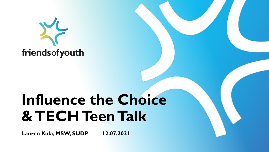

# **Influence the Choice & TECH Teen Talk**

**Lauren Kula, MSW, SUDP 12.07.2021**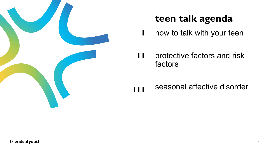

### **teen talk agenda**

how to talk with your teen **1**

protective factors and risk factors **11**

seasonal affective disorder **111**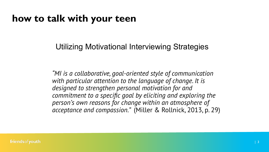### **how to talk with your teen**

### Utilizing Motivational Interviewing Strategies

*"MI is a collaborative, goal-oriented style of communication with particular attention to the language of change. It is designed to strengthen personal motivation for and commitment to a specific goal by eliciting and exploring the person's own reasons for change within an atmosphere of acceptance and compassion."*  (Miller & Rollnick, 2013, p. 29)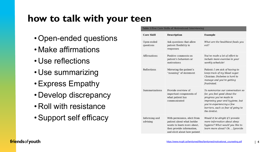### **how to talk with your teen**

- •Open-ended questions
- Make affirmations
- •Use reflections
- •Use summarizing
- •Express Empathy
- •Develop discrepancy
- •Roll with resistance
- •Support self efficacy

| Table 3 Five Core Skills of Motivational Interviewing |                                                                                                                                                      |                                                                                                                                                                                                                    |
|-------------------------------------------------------|------------------------------------------------------------------------------------------------------------------------------------------------------|--------------------------------------------------------------------------------------------------------------------------------------------------------------------------------------------------------------------|
| <b>Core Skill</b>                                     | <b>Description</b>                                                                                                                                   | <b>Example</b>                                                                                                                                                                                                     |
| Open-ended<br>questions                               | Ask questions that allow<br>patient flexibility in<br>responses                                                                                      | What are the healthiest foods you<br>eat?                                                                                                                                                                          |
| Affirmations                                          | Positive comments on<br>patient's behaviors or<br>motivations                                                                                        | You've made a lot of effort to<br>include more exercise in your<br>weekly schedule!                                                                                                                                |
| Reflections                                           | Mirroring the patient's<br>"meaning" of statement                                                                                                    | Patient: I am sick of having to<br>keep track of my blood sugar.<br>Clinician: Diabetes is hard to<br>manage and you're getting<br>frustrated.                                                                     |
| Summarizations                                        | Provide overview of<br>important components of<br>what patient has<br>communicated                                                                   | To summarize our conversation so<br>far, you feel good about the<br>progress you've made in<br>improving your oral hygiene, but<br>you're experiencing a few<br>barriers, such as fear of going to<br>the dentist. |
| Informing and<br>advising                             | With permission, elicit from<br>patient about what he/she<br>wants to learn more about.<br>then provide information,<br>and elicit about how patient | Would it be alright if I provide<br>more information about sleep<br>hygiene? What would you like to<br>learn more about? Ok  [provide                                                                              |

#### friends of youth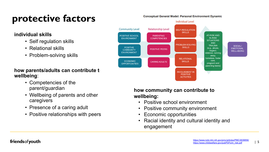## **protective factors**

#### **individual skills**

- Self regulation skills
- Relational skills
- Problem-solving skills

#### **how parents/adults can contribute to wellbeing**:

- Competencies of the parent/guardian
- Wellbeing of parents and other caregivers
- Presence of a caring adult
- Positive relationships with peers

#### **how community can contribute to wellbeing:**

- Positive school environment
- Positive community environment
- Economic opportunities
- Racial identity and cultural identity and engagement





#### <https://www.ncbi.nlm.nih.gov/pmc/articles/PMC3839856/> https://www.childwelfare.gov/pubPDFs/in\_risk.pdf